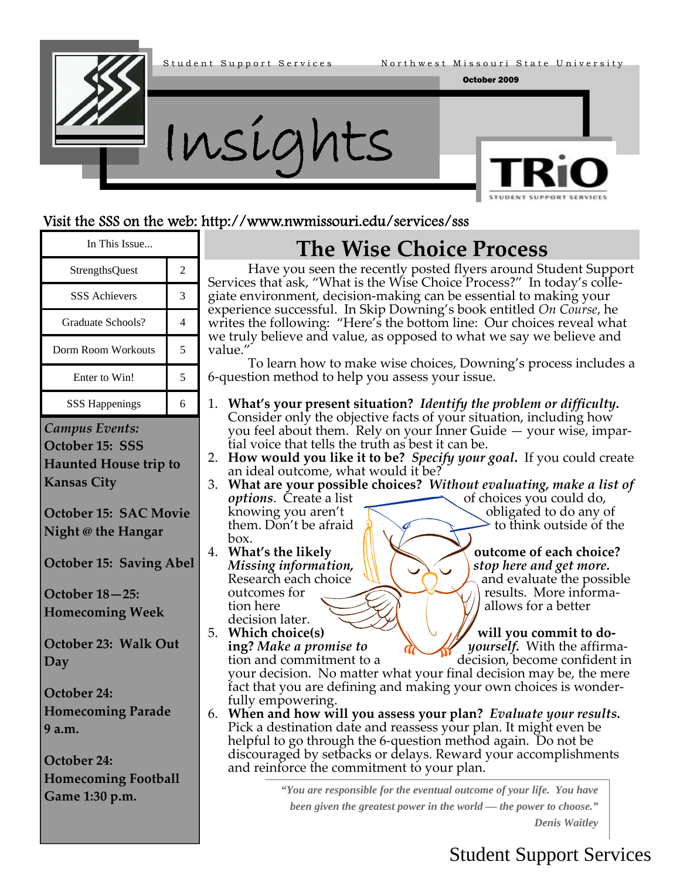

### Visit the SSS on the web: http://www.nwmissouri.edu/services/sss

| In This Issue                                                                                                                                                                                                                                                                                                                                                                  |                | <b>The Wise Choice Process</b>                                                                                                                                                                                                                                                                                                                                                                                                                                                                                                                                                                                                                                                                                                                                                                                                                                                                                                                                                                                                                                                                                                                                                                                                                                                                                                                                                                                                                                                                                                                                             |  |
|--------------------------------------------------------------------------------------------------------------------------------------------------------------------------------------------------------------------------------------------------------------------------------------------------------------------------------------------------------------------------------|----------------|----------------------------------------------------------------------------------------------------------------------------------------------------------------------------------------------------------------------------------------------------------------------------------------------------------------------------------------------------------------------------------------------------------------------------------------------------------------------------------------------------------------------------------------------------------------------------------------------------------------------------------------------------------------------------------------------------------------------------------------------------------------------------------------------------------------------------------------------------------------------------------------------------------------------------------------------------------------------------------------------------------------------------------------------------------------------------------------------------------------------------------------------------------------------------------------------------------------------------------------------------------------------------------------------------------------------------------------------------------------------------------------------------------------------------------------------------------------------------------------------------------------------------------------------------------------------------|--|
| <b>StrengthsQuest</b>                                                                                                                                                                                                                                                                                                                                                          | $\overline{2}$ | Have you seen the recently posted flyers around Student Support<br>Services that ask, "What is the Wise Choice Process?" In today's colle-                                                                                                                                                                                                                                                                                                                                                                                                                                                                                                                                                                                                                                                                                                                                                                                                                                                                                                                                                                                                                                                                                                                                                                                                                                                                                                                                                                                                                                 |  |
| <b>SSS Achievers</b>                                                                                                                                                                                                                                                                                                                                                           | 3              | giate environment, decision-making can be essential to making your                                                                                                                                                                                                                                                                                                                                                                                                                                                                                                                                                                                                                                                                                                                                                                                                                                                                                                                                                                                                                                                                                                                                                                                                                                                                                                                                                                                                                                                                                                         |  |
| Graduate Schools?                                                                                                                                                                                                                                                                                                                                                              | $\overline{4}$ | experience successful. In Skip Downing's book entitled On Course, he<br>writes the following: "Here's the bottom line: Our choices reveal what<br>we truly believe and value, as opposed to what we say we believe and<br>value.<br>To learn how to make wise choices, Downing's process includes a<br>6-question method to help you assess your issue.                                                                                                                                                                                                                                                                                                                                                                                                                                                                                                                                                                                                                                                                                                                                                                                                                                                                                                                                                                                                                                                                                                                                                                                                                    |  |
| Dorm Room Workouts                                                                                                                                                                                                                                                                                                                                                             | 5              |                                                                                                                                                                                                                                                                                                                                                                                                                                                                                                                                                                                                                                                                                                                                                                                                                                                                                                                                                                                                                                                                                                                                                                                                                                                                                                                                                                                                                                                                                                                                                                            |  |
| Enter to Win!                                                                                                                                                                                                                                                                                                                                                                  | 5              |                                                                                                                                                                                                                                                                                                                                                                                                                                                                                                                                                                                                                                                                                                                                                                                                                                                                                                                                                                                                                                                                                                                                                                                                                                                                                                                                                                                                                                                                                                                                                                            |  |
| <b>SSS Happenings</b>                                                                                                                                                                                                                                                                                                                                                          | 6              | 1. What's your present situation? Identify the problem or difficulty.<br>Consider only the objective facts of your situation, including how                                                                                                                                                                                                                                                                                                                                                                                                                                                                                                                                                                                                                                                                                                                                                                                                                                                                                                                                                                                                                                                                                                                                                                                                                                                                                                                                                                                                                                |  |
| <b>Campus Events:</b><br>October 15: SSS<br><b>Haunted House trip to</b><br><b>Kansas City</b><br>October 15: SAC Movie<br>Night @ the Hangar<br><b>October 15: Saving Abel</b><br>October 18-25:<br><b>Homecoming Week</b><br>October 23: Walk Out<br>Day<br>October 24:<br><b>Homecoming Parade</b><br>9 a.m.<br>October 24:<br><b>Homecoming Football</b><br>Game 1:30 p.m. |                | you feel about them. Rely on your Inner Guide - your wise, impar-<br>tial voice that tells the truth as best it can be.<br>2. How would you like it to be? Specify your goal. If you could create<br>an ideal outcome, what would it be?<br>3. What are your possible choices? Without evaluating, make a list of<br>of choices you could do,<br><i>options.</i> Create a list<br>obligated to do any of<br>knowing you aren't<br>them. Don't be afraid<br>to think outside of the<br>box.<br>4. What's the likely<br>outcome of each choice?<br>Missing information,<br>stop here and get more.<br>Research each choice<br>and evaluate the possible<br>results. More informa-<br>outcomes for<br>allows for a better<br>tion here<br>decision later.<br>5. Which choice(s)<br>will you commit to do-<br><i>yourself.</i> With the affirma-<br>ing? Make a promise to<br>decision, become confident in<br>tion and commitment to a<br>your decision. No matter what your final decision may be, the mere<br>fact that you are defining and making your own choices is wonder-<br>fully empowering.<br>6. When and how will you assess your plan? Evaluate your results.<br>Pick a destination date and reassess your plan. It might even be<br>helpful to go through the 6-question method again. Do not be<br>discouraged by setbacks or delays. Reward your accomplishments<br>and reinforce the commitment to your plan.<br>"You are responsible for the eventual outcome of your life. You have<br>been given the greatest power in the world — the power to choose." |  |

### Student Support Services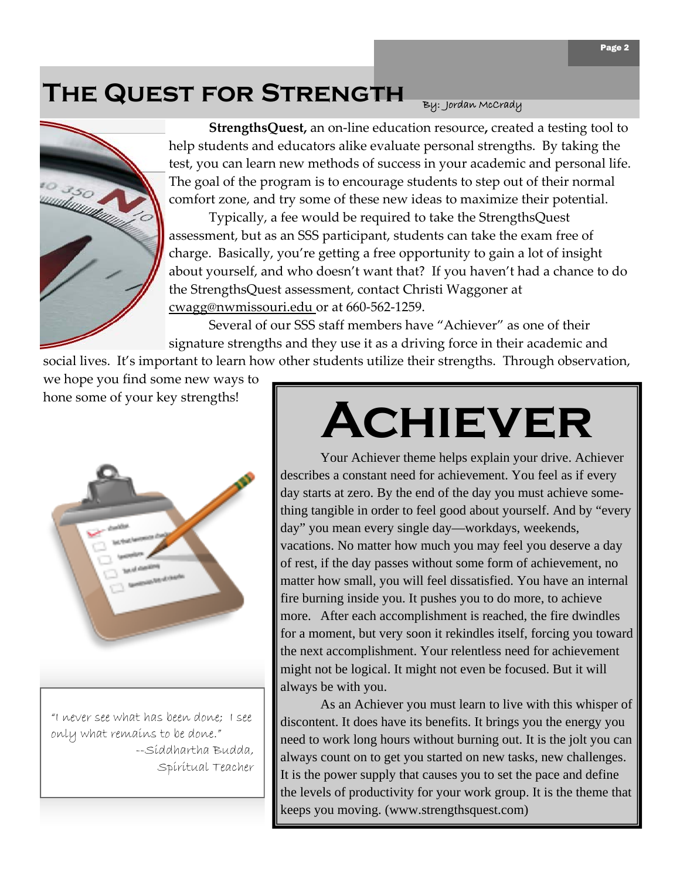## **The Quest for Strength**



**StrengthsQuest,** an on‐line education resource**,** created a testing tool to help students and educators alike evaluate personal strengths. By taking the test, you can learn new methods of success in your academic and personal life. The goal of the program is to encourage students to step out of their normal comfort zone, and try some of these new ideas to maximize their potential.

 Typically, a fee would be required to take the StrengthsQuest assessment, but as an SSS participant, students can take the exam free of charge. Basically, you're getting a free opportunity to gain a lot of insight about yourself, and who doesn't want that? If you haven't had a chance to do the StrengthsQuest assessment, contact Christi Waggoner at cwagg@nwmissouri.edu or at 660‐562‐1259.

 Several of our SSS staff members have "Achiever" as one of their signature strengths and they use it as a driving force in their academic and

social lives. It's important to learn how other students utilize their strengths. Through observation, we hope you find some new ways to hone some of your key strengths!



"I never see what has been done; I see only what remains to be done." --Siddhartha Budda, Spiritual Teacher

# **Achiever**

By: Jordan McCrady

 Your Achiever theme helps explain your drive. Achiever describes a constant need for achievement. You feel as if every day starts at zero. By the end of the day you must achieve something tangible in order to feel good about yourself. And by "every day" you mean every single day—workdays, weekends, vacations. No matter how much you may feel you deserve a day of rest, if the day passes without some form of achievement, no matter how small, you will feel dissatisfied. You have an internal fire burning inside you. It pushes you to do more, to achieve more. After each accomplishment is reached, the fire dwindles for a moment, but very soon it rekindles itself, forcing you toward the next accomplishment. Your relentless need for achievement might not be logical. It might not even be focused. But it will always be with you.

 As an Achiever you must learn to live with this whisper of discontent. It does have its benefits. It brings you the energy you need to work long hours without burning out. It is the jolt you can always count on to get you started on new tasks, new challenges. It is the power supply that causes you to set the pace and define the levels of productivity for your work group. It is the theme that keeps you moving. (www.strengthsquest.com)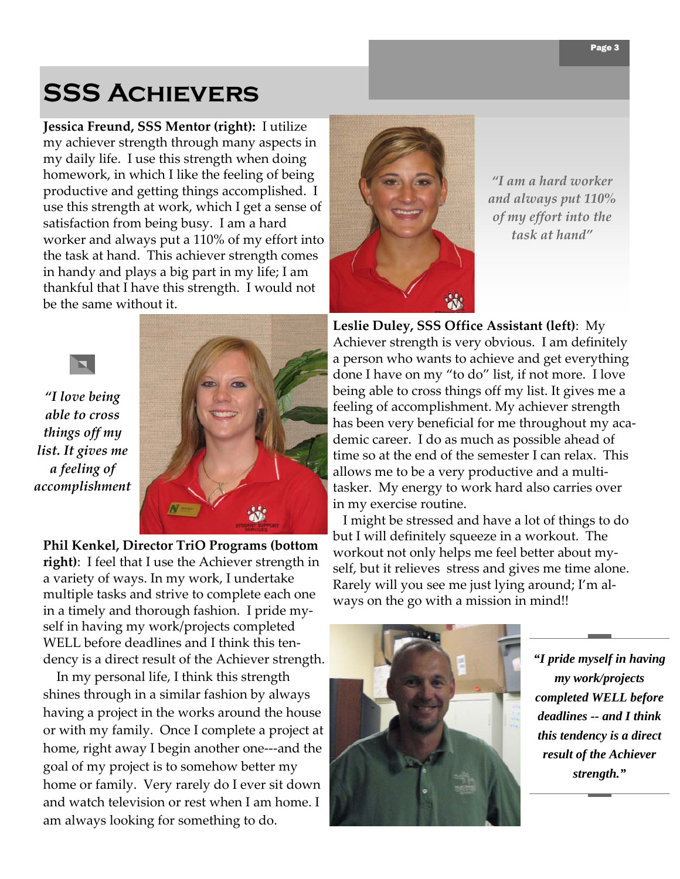## **SSS Achievers**

**Jessica Freund, SSS Mentor (right):** I utilize my achiever strength through many aspects in my daily life. I use this strength when doing homework, in which I like the feeling of being productive and getting things accomplished. I use this strength at work, which I get a sense of satisfaction from being busy. I am a hard worker and always put a 110% of my effort into the task at hand. This achiever strength comes in handy and plays a big part in my life; I am thankful that I have this strength. I would not be the same without it.



*"I am a hard worker and always put 110% of my effort into the task at hand"*

*"I love being able to cross things off my list. It gives me a feeling of accomplishment*

 $\blacksquare$ 



**Phil Kenkel, Director TriO Programs (bottom right)**: I feel that I use the Achiever strength in a variety of ways. In my work, I undertake multiple tasks and strive to complete each one in a timely and thorough fashion. I pride my‐ self in having my work/projects completed WELL before deadlines and I think this ten‐ dency is a direct result of the Achiever strength.

 In my personal life, I think this strength shines through in a similar fashion by always having a project in the works around the house or with my family. Once I complete a project at home, right away I begin another one---and the goal of my project is to somehow better my home or family. Very rarely do I ever sit down and watch television or rest when I am home. I am always looking for something to do.

**Leslie Duley, SSS Office Assistant (left)**: My Achiever strength is very obvious. I am definitely a person who wants to achieve and get everything done I have on my "to do" list, if not more. I love being able to cross things off my list. It gives me a feeling of accomplishment. My achiever strength has been very beneficial for me throughout my aca‐ demic career. I do as much as possible ahead of time so at the end of the semester I can relax. This allows me to be a very productive and a multi‐ tasker. My energy to work hard also carries over in my exercise routine.

 I might be stressed and have a lot of things to do but I will definitely squeeze in a workout. The workout not only helps me feel better about my‐ self, but it relieves stress and gives me time alone. Rarely will you see me just lying around; I'm al‐ ways on the go with a mission in mind!!



*"I pride myself in having my work/projects completed WELL before deadlines -- and I think this tendency is a direct result of the Achiever strength."*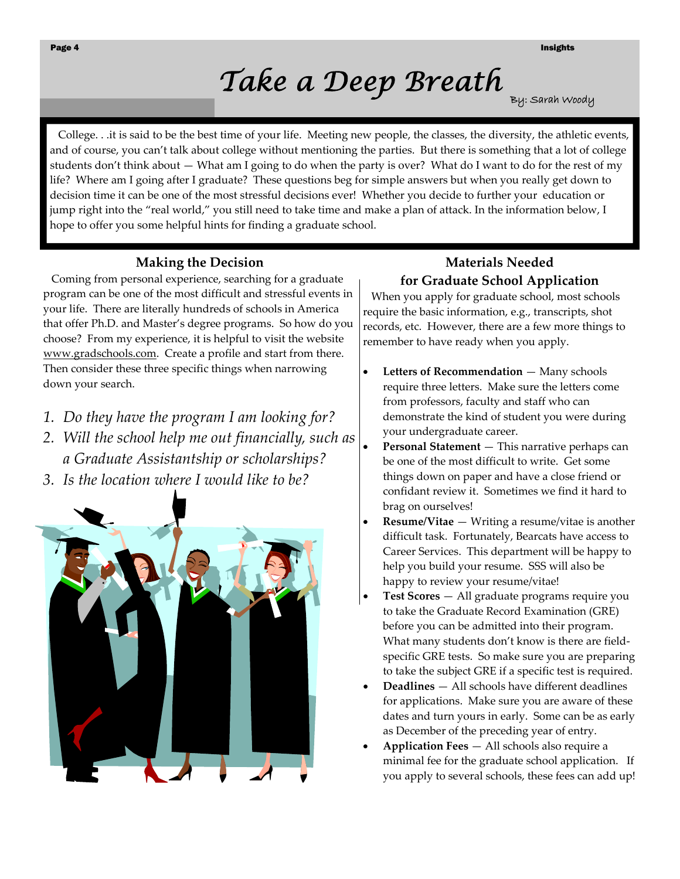## *Take a Deep Breath* <sub>By: Sarah Woody</sub>

 College. . .it is said to be the best time of your life. Meeting new people, the classes, the diversity, the athletic events, and of course, you can't talk about college without mentioning the parties. But there is something that a lot of college students don't think about — What am I going to do when the party is over? What do I want to do for the rest of my life? Where am I going after I graduate? These questions beg for simple answers but when you really get down to decision time it can be one of the most stressful decisions ever! Whether you decide to further your education or jump right into the "real world," you still need to take time and make a plan of attack. In the information below, I hope to offer you some helpful hints for finding a graduate school.

#### **Making the Decision**

 Coming from personal experience, searching for a graduate program can be one of the most difficult and stressful events in your life. There are literally hundreds of schools in America that offer Ph.D. and Master's degree programs. So how do you choose? From my experience, it is helpful to visit the website www.gradschools.com. Create a profile and start from there. Then consider these three specific things when narrowing down your search.

- *1. Do they have the program I am looking for?*
- *2. Will the school help me out financially, such as a Graduate Assistantship or scholarships?*
- *3. Is the location where I would like to be?*



#### **Materials Needed for Graduate School Application**

 When you apply for graduate school, most schools require the basic information, e.g., transcripts, shot records, etc. However, there are a few more things to remember to have ready when you apply.

- **Letters of Recommendation** Many schools require three letters. Make sure the letters come from professors, faculty and staff who can demonstrate the kind of student you were during your undergraduate career.
- **Personal Statement** This narrative perhaps can be one of the most difficult to write. Get some things down on paper and have a close friend or confidant review it. Sometimes we find it hard to brag on ourselves!
- **Resume/Vitae** Writing a resume/vitae is another difficult task. Fortunately, Bearcats have access to Career Services. This department will be happy to help you build your resume. SSS will also be happy to review your resume/vitae!
- **Test Scores** All graduate programs require you to take the Graduate Record Examination (GRE) before you can be admitted into their program. What many students don't know is there are field‐ specific GRE tests. So make sure you are preparing to take the subject GRE if a specific test is required.
- **Deadlines** All schools have different deadlines for applications. Make sure you are aware of these dates and turn yours in early. Some can be as early as December of the preceding year of entry.
- **Application Fees** All schools also require a minimal fee for the graduate school application. If you apply to several schools, these fees can add up!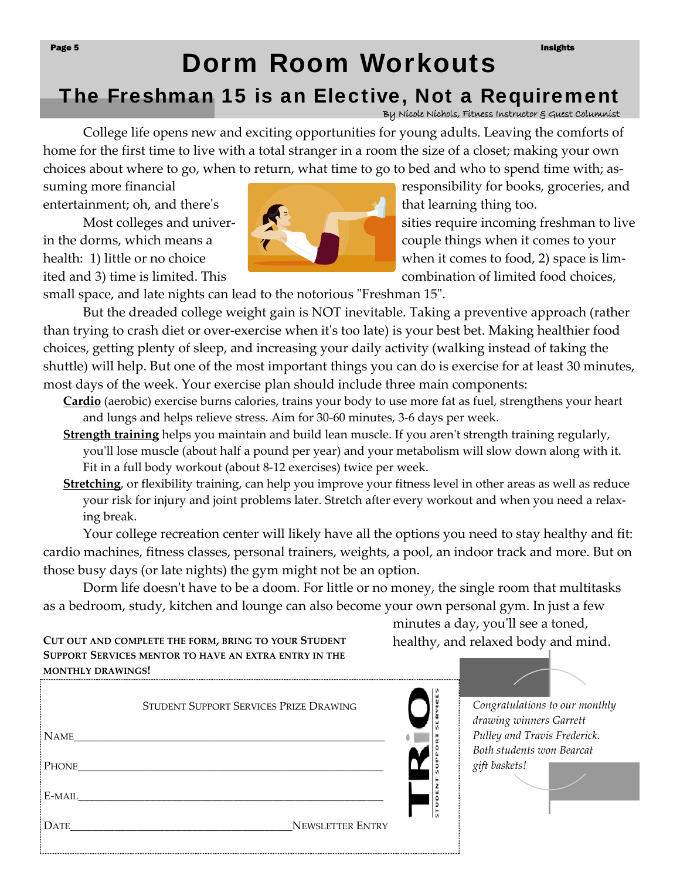#### Page 5 Insights and the control of the control of the control of the control of the control of the control of the control of the control of the control of the control of the control of the control of the control of the con

### Dorm Room Workouts The Freshman 15 is an Elective, Not a Requirement

By Nicole Nichols, Fitness Instructor & Guest Columnist

College life opens new and exciting opportunities for young adults. Leaving the comforts of home for the first time to live with a total stranger in a room the size of a closet; making your own choices about where to go, when to return, what time to go to bed and who to spend time with; as-

entertainment; oh, and there's that learning thing too.



suming more financial *a suming more financial* *a suming more financial a suming more financial* **<b>***a suming more financial a* Most colleges and univerin the dorms, which means a couple things when it comes to your health: 1) little or no choice when it comes to food, 2) space is limited and 3) time is limited. This combination of limited food choices,

small space, and late nights can lead to the notorious "Freshman 15".

But the dreaded college weight gain is NOT inevitable. Taking a preventive approach (rather than trying to crash diet or over‐exercise when itʹs too late) is your best bet. Making healthier food choices, getting plenty of sleep, and increasing your daily activity (walking instead of taking the shuttle) will help. But one of the most important things you can do is exercise for at least 30 minutes, most days of the week. Your exercise plan should include three main components:

**[Cardio](http://www.sparkpeople.com/resource/reference_aerobic.asp)** (aerobic) exercise burns calories, trains your body to use more fat as fuel, strengthens your heart and lungs and helps relieve stress. Aim for 30‐60 minutes, 3‐6 days per week.

- **[Strength](http://www.sparkpeople.com/resource/reference_strength.asp) training** helps you maintain and build lean muscle. If you aren't strength training regularly, you'll lose muscle (about half a pound per year) and your metabolism will slow down along with it. Fit in a full body workout (about 8‐12 exercises) twice per week.
- **[Stretching](http://www.sparkpeople.com/resource/reference_stretching.asp)**, or flexibility training, can help you improve your fitness level in other areas as well as reduce your risk for injury and joint problems later. Stretch after every workout and when you need a relaxing break.

Your college recreation center will likely have all the options you need to stay healthy and fit: cardio machines, fitness classes, personal trainers, weights, a pool, an indoor track and more. But on those busy days (or late nights) the gym might not be an option.

Dorm life doesn't have to be a doom. For little or no money, the single room that multitasks as a bedroom, study, kitchen and lounge can also become your own personal gym. In just a few

**CUT** OUT AND COMPLETE THE FORM, BRING TO YOUR STUDENT healthy, and relaxed body and mind. **SUPPORT SERVICES MENTOR TO HAVE AN EXTRA ENTRY IN THE MONTHLY DRAWINGS!**

STUDENT SUPPORT SERVICES PRIZE DRAWING NAME\_\_\_\_\_\_\_\_\_\_\_\_\_\_\_\_\_\_\_\_\_\_\_\_\_\_\_\_\_\_\_\_\_\_\_\_\_\_\_\_\_\_\_\_\_\_\_\_\_\_\_\_\_\_\_\_ PHONE\_\_\_\_\_\_\_\_\_\_\_\_\_\_\_\_\_\_\_\_\_\_\_\_\_\_\_\_\_\_\_\_\_\_\_\_\_\_\_\_\_\_\_\_\_\_\_\_\_\_\_\_\_\_\_ UDENT E-MAIL DATE **DATE** 

minutes a day, you'll see a toned,